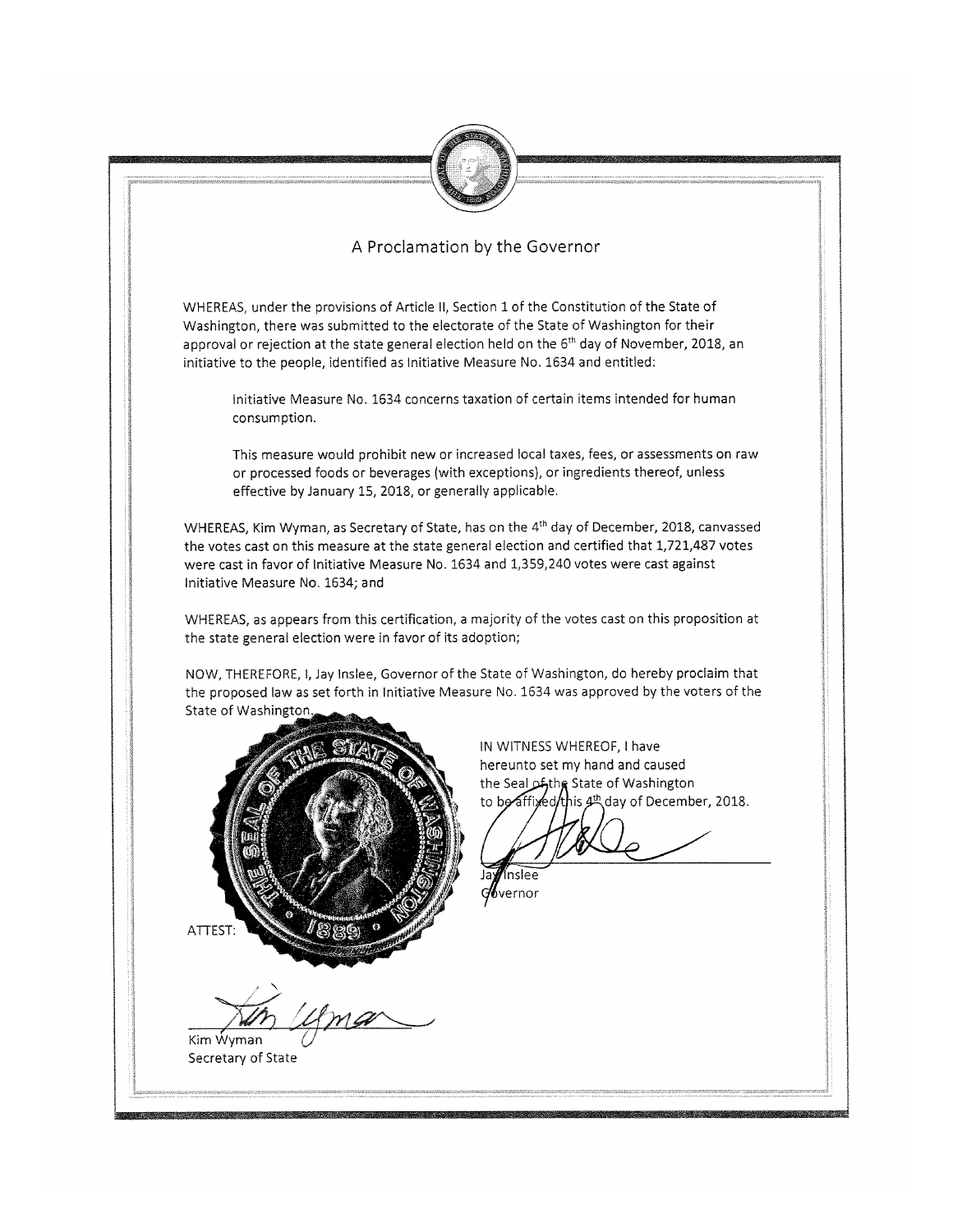

## A Proclamation by the Governor

WHEREAS, under the provisions of Article II, Section 1 of the Constitution of the State of Washington, there was submitted to the electorate of the State of Washington for their approval or rejection at the state general election held on the 6<sup>th</sup> day of November, 2018, an initiative to the people, identified as Initiative Measure No. 1634 and entitled:

Initiative Measure No. 1634 concerns taxation of certain items intended for human consumption.

This measure would prohibit new or increased local taxes, fees, or assessments on raw or processed foods or beverages (with exceptions), or ingredients thereof, unless effective by January 15, 2018, or generally applicable.

WHEREAS, Kim Wyman, as Secretary of State, has on the 4<sup>th</sup> day of December, 2018, canvassed the votes cast on this measure at the state general election and certified that 1,721,487 votes were cast in favor of Initiative Measure No. 1634 and 1,359,240 votes were cast against Initiative Measure No. 1634; and

WHEREAS, as appears from this certification, a majority of the votes cast on this proposition at the state general election were in favor of its adoption;

NOW, THEREFORE, I, Jay Inslee, Governor of the State of Washington, do hereby proclaim that the proposed law as set forth in Initiative Measure No. 1634 was approved by the voters of the State of Washington.



Kim Wyman

Secretary of State

IN WITNESS WHEREOF, I have hereunto set my hand and caused the Seal of the State of Washington to be affixed this 4th day of December, 2018.

 $d\!b$ vernor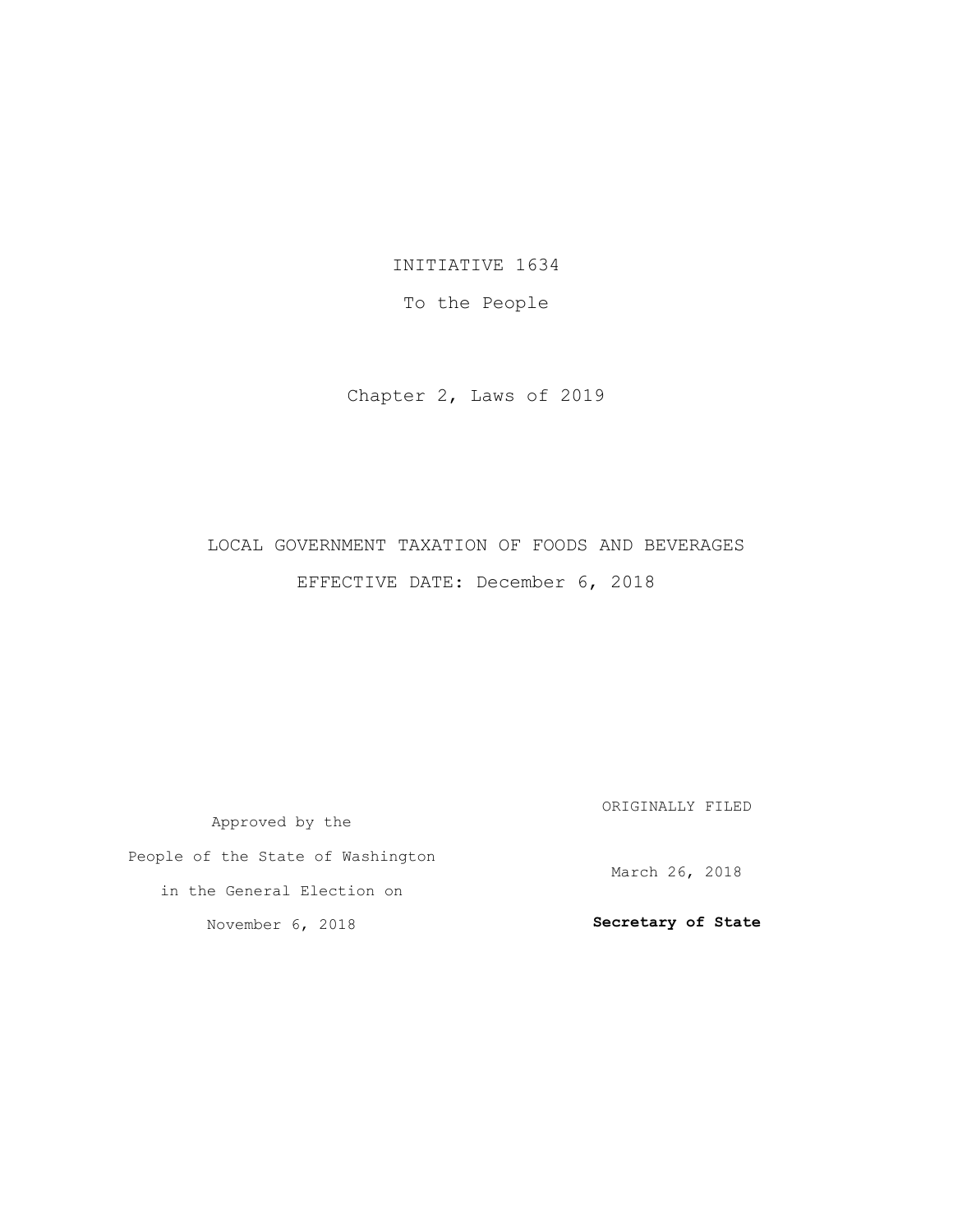INITIATIVE 1634

To the People

Chapter 2, Laws of 2019

## LOCAL GOVERNMENT TAXATION OF FOODS AND BEVERAGES EFFECTIVE DATE: December 6, 2018

Approved by the People of the State of Washington in the General Election on November 6, 2018 ORIGINALLY FILED March 26, 2018 **Secretary of State**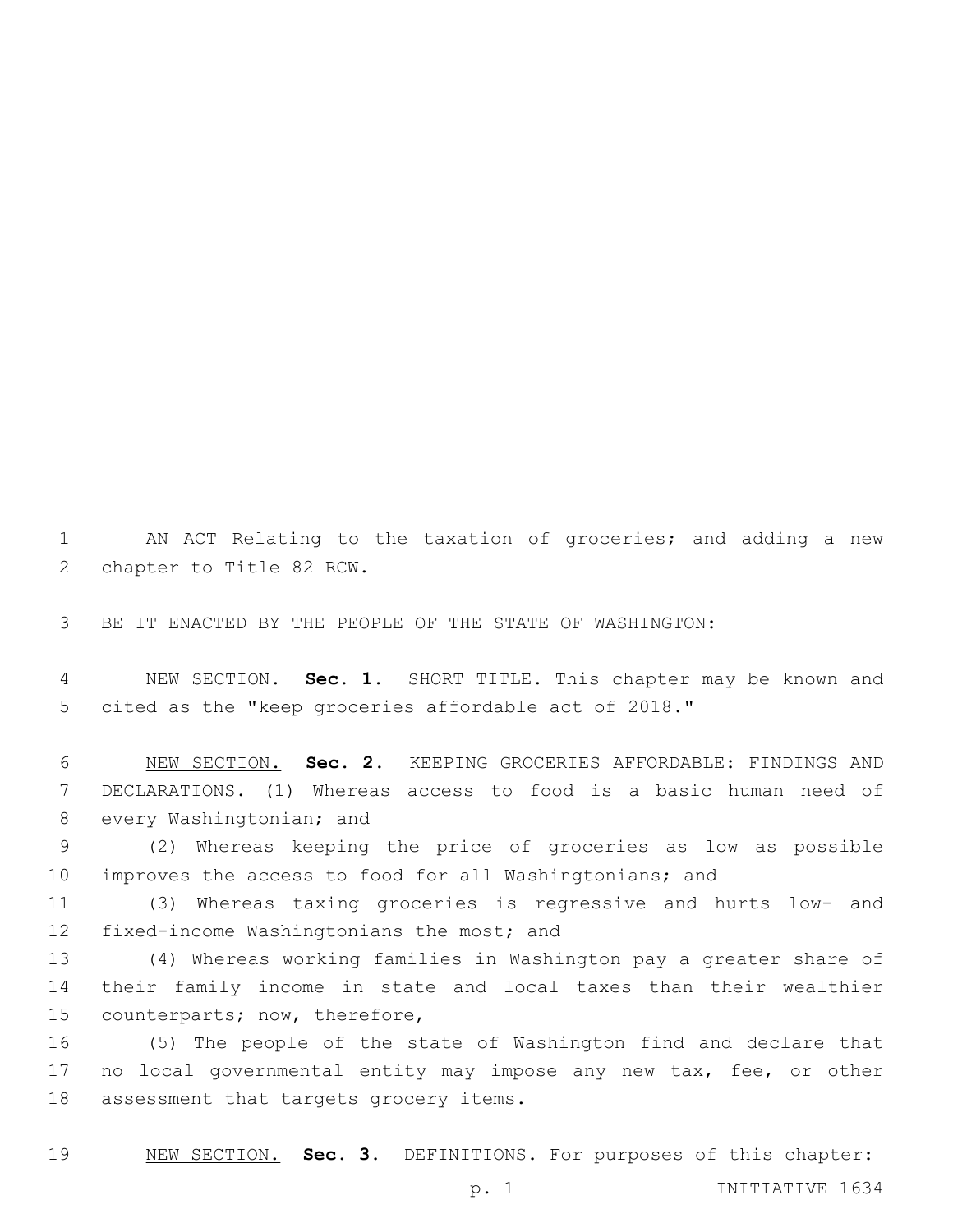AN ACT Relating to the taxation of groceries; and adding a new 2 chapter to Title 82 RCW.

BE IT ENACTED BY THE PEOPLE OF THE STATE OF WASHINGTON:

 NEW SECTION. **Sec. 1.** SHORT TITLE. This chapter may be known and cited as the "keep groceries affordable act of 2018."

 NEW SECTION. **Sec. 2.** KEEPING GROCERIES AFFORDABLE: FINDINGS AND DECLARATIONS. (1) Whereas access to food is a basic human need of 8 every Washingtonian; and

 (2) Whereas keeping the price of groceries as low as possible improves the access to food for all Washingtonians; and

 (3) Whereas taxing groceries is regressive and hurts low- and 12 fixed-income Washingtonians the most; and

 (4) Whereas working families in Washington pay a greater share of their family income in state and local taxes than their wealthier 15 counterparts; now, therefore,

 (5) The people of the state of Washington find and declare that no local governmental entity may impose any new tax, fee, or other 18 assessment that targets grocery items.

NEW SECTION. **Sec. 3.** DEFINITIONS. For purposes of this chapter: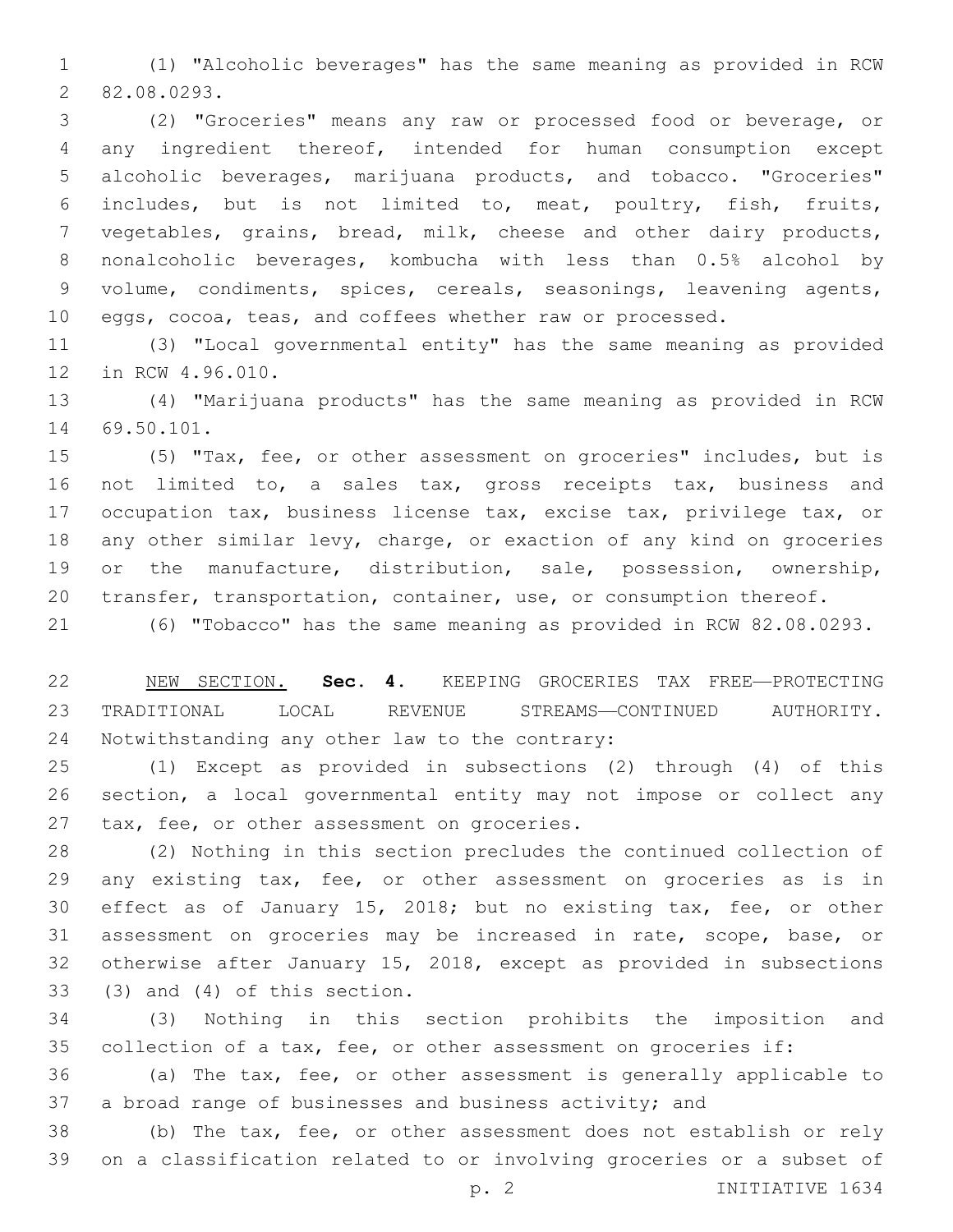(1) "Alcoholic beverages" has the same meaning as provided in RCW 82.08.0293.2

 (2) "Groceries" means any raw or processed food or beverage, or any ingredient thereof, intended for human consumption except alcoholic beverages, marijuana products, and tobacco. "Groceries" includes, but is not limited to, meat, poultry, fish, fruits, vegetables, grains, bread, milk, cheese and other dairy products, nonalcoholic beverages, kombucha with less than 0.5% alcohol by volume, condiments, spices, cereals, seasonings, leavening agents, eggs, cocoa, teas, and coffees whether raw or processed.

 (3) "Local governmental entity" has the same meaning as provided 12 in RCW 4.96.010.

 (4) "Marijuana products" has the same meaning as provided in RCW 14 69.50.101.

 (5) "Tax, fee, or other assessment on groceries" includes, but is not limited to, a sales tax, gross receipts tax, business and occupation tax, business license tax, excise tax, privilege tax, or any other similar levy, charge, or exaction of any kind on groceries or the manufacture, distribution, sale, possession, ownership, transfer, transportation, container, use, or consumption thereof.

(6) "Tobacco" has the same meaning as provided in RCW 82.08.0293.

 NEW SECTION. **Sec. 4.** KEEPING GROCERIES TAX FREE—PROTECTING TRADITIONAL LOCAL REVENUE STREAMS—CONTINUED AUTHORITY. Notwithstanding any other law to the contrary:

 (1) Except as provided in subsections (2) through (4) of this section, a local governmental entity may not impose or collect any 27 tax, fee, or other assessment on groceries.

 (2) Nothing in this section precludes the continued collection of any existing tax, fee, or other assessment on groceries as is in effect as of January 15, 2018; but no existing tax, fee, or other assessment on groceries may be increased in rate, scope, base, or otherwise after January 15, 2018, except as provided in subsections  $(3)$  and  $(4)$  of this section.

 (3) Nothing in this section prohibits the imposition and collection of a tax, fee, or other assessment on groceries if:

 (a) The tax, fee, or other assessment is generally applicable to a broad range of businesses and business activity; and

 (b) The tax, fee, or other assessment does not establish or rely on a classification related to or involving groceries or a subset of

p. 2 INITIATIVE 1634